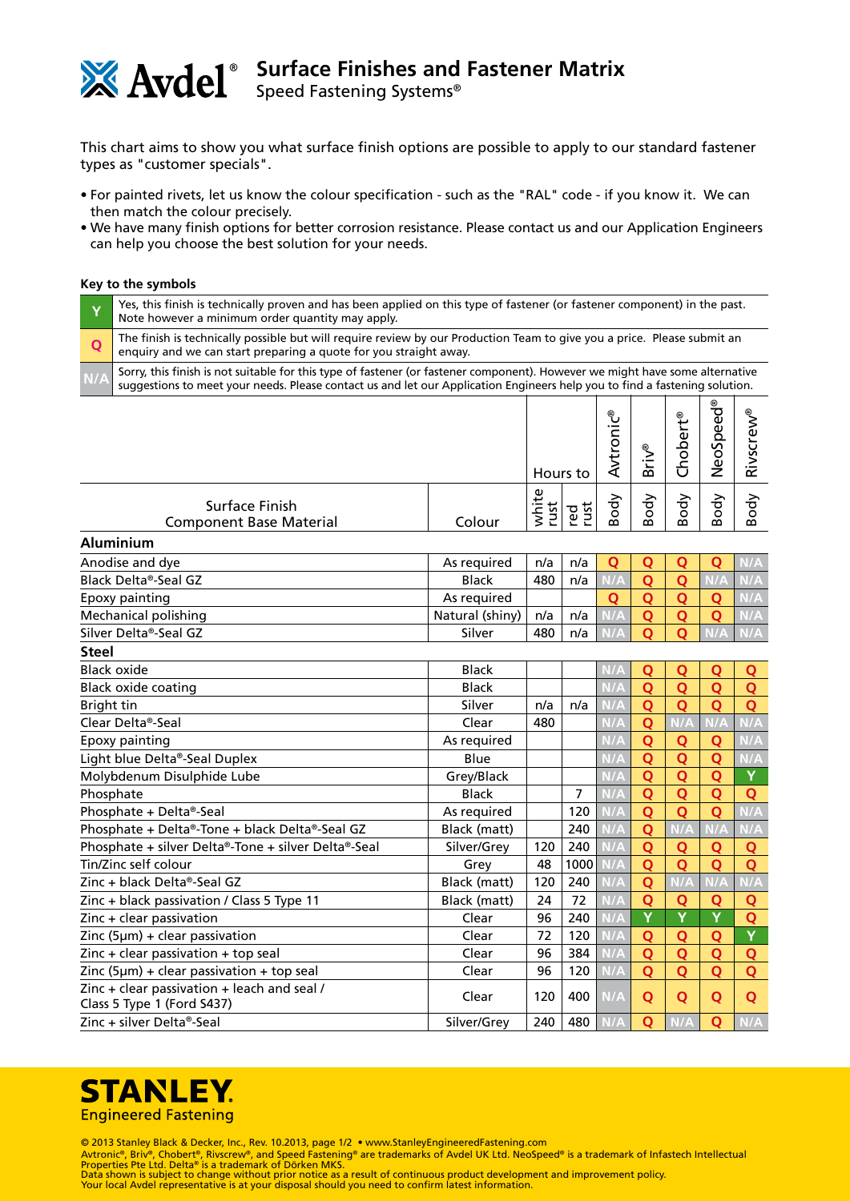

## **Surface Finishes and Fastener Matrix**

Speed Fastening Systems®

This chart aims to show you what surface finish options are possible to apply to our standard fastener types as "customer specials".

- For painted rivets, let us know the colour specification such as the "RAL" code if you know it. We can then match the colour precisely.
- We have many finish options for better corrosion resistance. Please contact us and our Application Engineers can help you choose the best solution for your needs.

## **Key to the symbols**

**Aluminium**

**Steel**

| Yes, this finish is technically proven and has been applied on this type of fastener (or fastener component) in the past.<br>Note however a minimum order quantity may apply.                                                                              |  |  |  |  |  |  |  |  |  |
|------------------------------------------------------------------------------------------------------------------------------------------------------------------------------------------------------------------------------------------------------------|--|--|--|--|--|--|--|--|--|
| The finish is technically possible but will require review by our Production Team to give you a price. Please submit an enquiry and we can start preparing a quote for you straight away.                                                                  |  |  |  |  |  |  |  |  |  |
| Sorry, this finish is not suitable for this type of fastener (or fastener component). However we might have some alternative<br>suggestions to meet your needs. Please contact us and let our Application Engineers help you to find a fastening solution. |  |  |  |  |  |  |  |  |  |
|                                                                                                                                                                                                                                                            |  |  |  |  |  |  |  |  |  |

|                                                  |        | Hours to    |        | ⊛<br>ں<br>$\overline{\phantom{0}}$<br>O<br>ى | $^{\circ}$<br>$\ddot{}$<br>മ    | $^{\circ}$<br>ω<br>◡             | O<br>Φ<br>Φ<br>$\sim$<br>Φ | ⊛<br>n<br>$\overline{\phantom{0}}$ |
|--------------------------------------------------|--------|-------------|--------|----------------------------------------------|---------------------------------|----------------------------------|----------------------------|------------------------------------|
| Surface Finish<br><b>Component Base Material</b> | Colour | Φ<br>⊶<br>n | ದ<br>ᇃ | ㅎ<br>o<br>$\mathbf{a}$                       | 승<br>o<br>$\boldsymbol{\omega}$ | ⋋<br>ত<br>o<br>$\mathbf{\Omega}$ | ⋋<br>ರ<br>O<br>മ           | о<br>∞                             |

| Anodise and dye       | As required     | n/a | n/a |  |  |     |
|-----------------------|-----------------|-----|-----|--|--|-----|
| Black Delta®-Seal GZ  | <b>Black</b>    | 480 | n/a |  |  |     |
| Epoxy painting        | As required     |     |     |  |  |     |
| Mechanical polishing  | Natural (shiny) | n/a | n/a |  |  | N/A |
| Silver Delta®-Seal GZ | Silver          | 480 | n/a |  |  |     |

| Black oxide                                                                                        | <b>Black</b> |     |      | N/A                     | Q | Q   | Q   | Q   |
|----------------------------------------------------------------------------------------------------|--------------|-----|------|-------------------------|---|-----|-----|-----|
| <b>Black oxide coating</b>                                                                         | <b>Black</b> |     |      | N/A                     | Q | Q   | Q   | Q   |
| Bright tin                                                                                         | Silver       | n/a | n/a  | N/A                     | Q | Ο   | Ο   | Q   |
| Clear Delta®-Seal                                                                                  | Clear        | 480 |      | N/A                     | Q |     |     |     |
| Epoxy painting                                                                                     | As required  |     |      |                         | Q | Q   | Q   | N/A |
| Light blue Delta®-Seal Duplex                                                                      | Blue         |     |      | N/A                     | Q | Q   | Q   | N/A |
| Molybdenum Disulphide Lube                                                                         | Grey/Black   |     |      | N/A                     | Q | Q   | Q   | Y   |
| Phosphate                                                                                          | <b>Black</b> |     | 7    | N/A                     | Q | Q   | Q   | Q   |
| Phosphate + Delta®-Seal                                                                            | As required  |     | 120  | N/A                     | Q | Q   | Q   | N/A |
| Phosphate + Delta®-Tone + black Delta®-Seal GZ                                                     | Black (matt) |     | 240  | N/A                     | Q | N/A | N/A | N/A |
| Phosphate + silver Delta®-Tone + silver Delta®-Seal                                                | Silver/Grey  | 120 | 240  | N/A                     | Q | Q   | Q   | Q   |
| Tin/Zinc self colour                                                                               | Grey         | 48  | 1000 | N/A                     | Q | Ο   | Ο   | Q   |
| Zinc + black Delta®-Seal GZ                                                                        | Black (matt) | 120 | 240  | N/A                     | Q |     |     | N/A |
| $\frac{2}{10}$ - black passivation / Class 5 Type 11                                               | Black (matt) | 24  | 72   | N/A                     | Q | Q   | Q   | Q   |
| Zinc + clear passivation                                                                           | Clear        | 96  | 240  | <b>N/A</b>              | Y | Y   | Y   | Q   |
| Zinc (5 $\mu$ m) + clear passivation                                                               | Clear        | 72  | 120  | ۷/A                     | Q | Q   | Q   | Y   |
| $\text{Zinc} + \text{clear passion} + \text{top seal}$                                             | Clear        | 96  | 384  | $\mathsf{I}/\mathsf{A}$ | Q | Q   | Q   | Q   |
| Zinc (5 $\mu$ m) + clear passivation + top seal                                                    | Clear        | 96  | 120  | N/A                     | Q | Q   | Ο   | Q   |
| $\frac{2}{1}$ and $\frac{1}{2}$ clear passivation + leach and seal /<br>Class 5 Type 1 (Ford S437) | Clear        | 120 | 400  | N/A                     | Q | Q   | Q   | Q   |
| Zinc + silver Delta®-Seal                                                                          | Silver/Grey  | 240 | 480  |                         | Q |     | Q   |     |



© 2013 Stanley Black & Decker, Inc., Rev. 10.2013, page 1/2 • www.StanleyEngineeredFastening.com

Avtronic®, Briv®, Chobert®, Rivscrew®, and Speed Fastening® are trademarks of Avdel UK Ltd. NeoSpeed® is a trademark of Infastech Intellectual<br>Properties Pte Ltd. Delta® is a trademark of Dörken MKS.<br>Data shown is subject